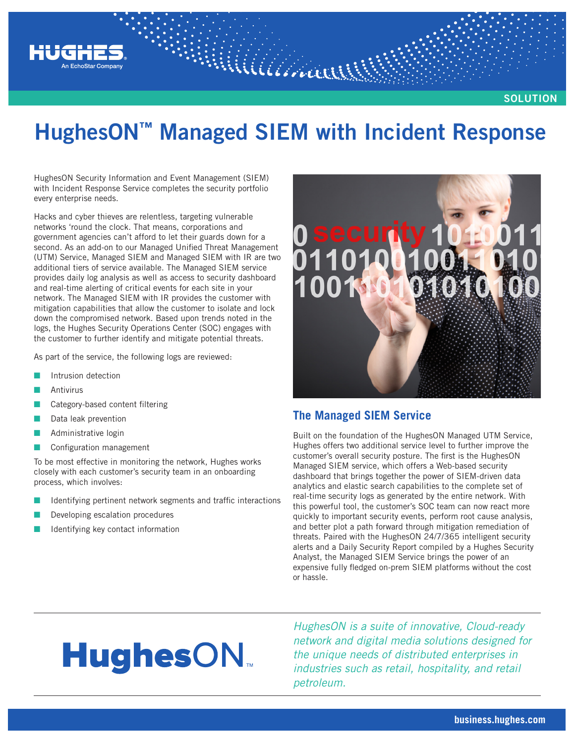

**SOLUTION**

## **HughesON™ Managed SIEM with Incident Response**

Williaman

HughesON Security Information and Event Management (SIEM) with Incident Response Service completes the security portfolio every enterprise needs.

Hacks and cyber thieves are relentless, targeting vulnerable networks 'round the clock. That means, corporations and government agencies can't afford to let their guards down for a second. As an add-on to our Managed Unified Threat Management (UTM) Service, Managed SIEM and Managed SIEM with IR are two additional tiers of service available. The Managed SIEM service provides daily log analysis as well as access to security dashboard and real-time alerting of critical events for each site in your network. The Managed SIEM with IR provides the customer with mitigation capabilities that allow the customer to isolate and lock down the compromised network. Based upon trends noted in the logs, the Hughes Security Operations Center (SOC) engages with the customer to further identify and mitigate potential threats.

As part of the service, the following logs are reviewed:

- Intrusion detection
- **Antivirus**
- Category-based content filtering
- Data leak prevention
- Administrative login
- Configuration management

To be most effective in monitoring the network, Hughes works closely with each customer's security team in an onboarding process, which involves:

- Identifying pertinent network segments and traffic interactions
- Developing escalation procedures
- Identifying key contact information



#### **The Managed SIEM Service**

Built on the foundation of the HughesON Managed UTM Service, Hughes offers two additional service level to further improve the customer's overall security posture. The first is the HughesON Managed SIEM service, which offers a Web-based security dashboard that brings together the power of SIEM-driven data analytics and elastic search capabilities to the complete set of real-time security logs as generated by the entire network. With this powerful tool, the customer's SOC team can now react more quickly to important security events, perform root cause analysis, and better plot a path forward through mitigation remediation of threats. Paired with the HughesON 24/7/365 intelligent security alerts and a Daily Security Report compiled by a Hughes Security Analyst, the Managed SIEM Service brings the power of an expensive fully fledged on-prem SIEM platforms without the cost or hassle.

# **HughesON**

*HughesON is a suite of innovative, Cloud-ready network and digital media solutions designed for the unique needs of distributed enterprises in industries such as retail, hospitality, and retail petroleum.*